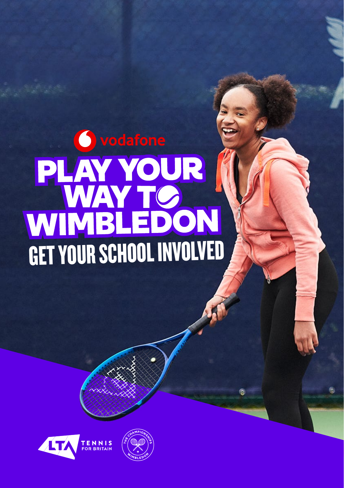# ovodafone **PLAY YOUR (WAY TO BE DON**<br>GET YOUR SCHOOL INVOLVED



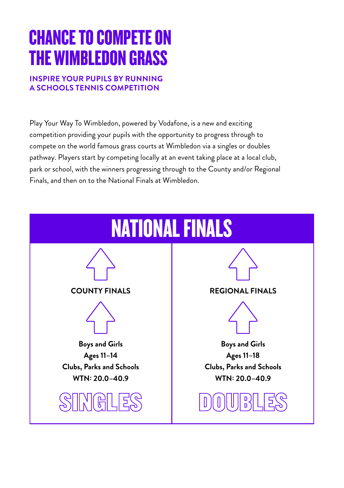## CHANCE TO COMPETE ON THE WIMBLEDON GRASS

#### **INSPIRE YOUR PUPILS BY RUNNING A SCHOOLS TENNIS COMPETITION**

Play Your Way To Wimbledon, powered by Vodafone, is a new and exciting competition providing your pupils with the opportunity to progress through to compete on the world famous grass courts at Wimbledon via a singles or doubles pathway. Players start by competing locally at an event taking place at a local club, park or school, with the winners progressing through to the County and/or Regional Finals, and then on to the National Finals at Wimbledon.

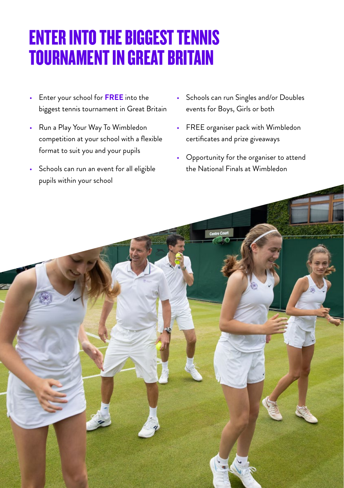### ENTER INTO THE BIGGEST TENNIS TOURNAMENT IN GREAT BRITAIN

- Enter your school for **FREE** into the biggest tennis tournament in Great Britain
- Run a Play Your Way To Wimbledon competition at your school with a flexible format to suit you and your pupils
- Schools can run an event for all eligible pupils within your school
- Schools can run Singles and/or Doubles events for Boys, Girls or both
- FREE organiser pack with Wimbledon certificates and prize giveaways
- Opportunity for the organiser to attend the National Finals at Wimbledon

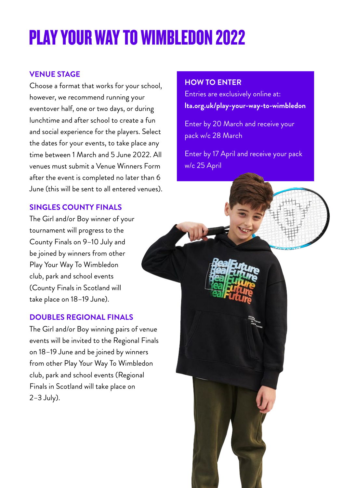# PLAY YOUR WAY TO WIMBLEDON 2022

#### **VENUE STAGE**

Choose a format that works for your school, however, we recommend running your eventover half, one or two days, or during lunchtime and after school to create a fun and social experience for the players. Select the dates for your events, to take place any time between 1 March and 5 June 2022. All venues must submit a Venue Winners Form after the event is completed no later than 6 June (this will be sent to all entered venues).

#### **SINGLES COUNTY FINALS**

The Girl and/or Boy winner of your tournament will progress to the County Finals on 9–10 July and be joined by winners from other Play Your Way To Wimbledon club, park and school events (County Finals in Scotland will take place on 18–19 June).

#### **DOUBLES REGIONAL FINALS**

The Girl and/or Boy winning pairs of venue events will be invited to the Regional Finals on 18–19 June and be joined by winners from other Play Your Way To Wimbledon club, park and school events (Regional Finals in Scotland will take place on 2–3 July).

#### **HOW TO ENTER**

Entries are exclusively online at: **lta.org.uk/play-your-way-to-wimbledon**

Enter by 20 March and receive your pack w/c 28 March

Enter by 17 April and receive your pack w/c 25 April